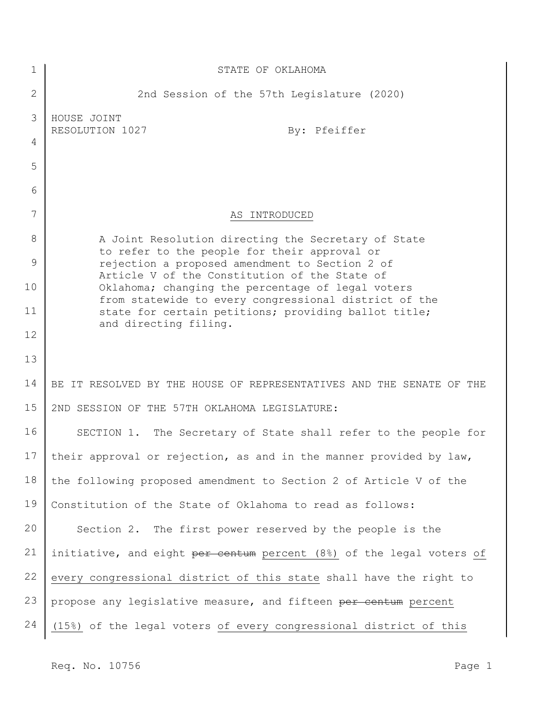| 1               | STATE OF OKLAHOMA                                                                                          |
|-----------------|------------------------------------------------------------------------------------------------------------|
| $\mathbf{2}$    | 2nd Session of the 57th Legislature (2020)                                                                 |
| 3               | HOUSE JOINT<br>By: Pfeiffer<br>RESOLUTION 1027                                                             |
| 4               |                                                                                                            |
| 5               |                                                                                                            |
| 6               |                                                                                                            |
| 7               | AS INTRODUCED                                                                                              |
| 8               | A Joint Resolution directing the Secretary of State<br>to refer to the people for their approval or        |
| 9               | rejection a proposed amendment to Section 2 of<br>Article V of the Constitution of the State of            |
| 10              | Oklahoma; changing the percentage of legal voters<br>from statewide to every congressional district of the |
| 11              | state for certain petitions; providing ballot title;                                                       |
| 12              | and directing filing.                                                                                      |
| 13              |                                                                                                            |
| 14              | BE IT RESOLVED BY THE HOUSE OF REPRESENTATIVES AND THE SENATE OF THE                                       |
| 15              | 2ND SESSION OF THE 57TH OKLAHOMA LEGISLATURE:                                                              |
| 16              | SECTION 1. The Secretary of State shall refer to the people for                                            |
| 17 <sub>1</sub> | their approval or rejection, as and in the manner provided by law,                                         |
| 18              | the following proposed amendment to Section 2 of Article V of the                                          |
| 19              | Constitution of the State of Oklahoma to read as follows:                                                  |
| 20              | Section 2. The first power reserved by the people is the                                                   |
| 21              | initiative, and eight per centum percent (8%) of the legal voters of                                       |
| 22              | every congressional district of this state shall have the right to                                         |
| 23              | propose any legislative measure, and fifteen per centum percent                                            |
| 24              | (15%) of the legal voters of every congressional district of this                                          |

Req. No. 10756 Page 1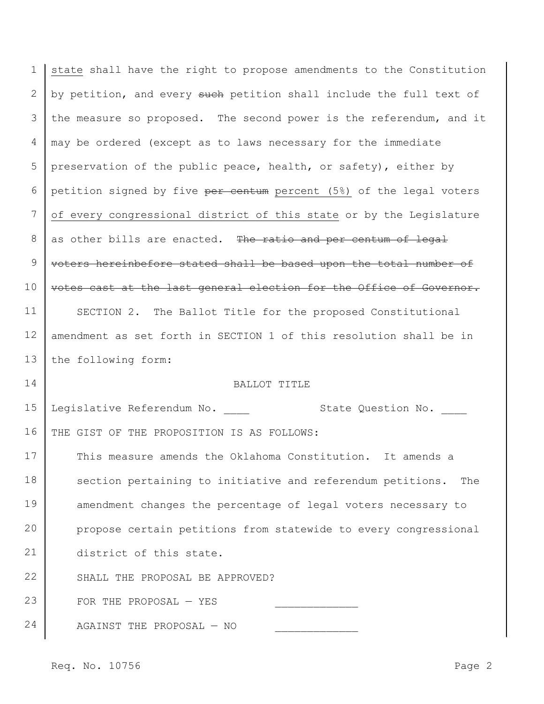1 2 3 4 5 6 7 8 9 10 11 12 13 14 15 16 17 18 19 20 21 22 23 24 state shall have the right to propose amendments to the Constitution by petition, and every such petition shall include the full text of the measure so proposed. The second power is the referendum, and it may be ordered (except as to laws necessary for the immediate preservation of the public peace, health, or safety), either by petition signed by five per centum percent (5%) of the legal voters of every congressional district of this state or by the Legislature as other bills are enacted. The ratio and per centum of legal voters hereinbefore stated shall be based upon the total number of votes cast at the last general election for the Office of Governor. SECTION 2. The Ballot Title for the proposed Constitutional amendment as set forth in SECTION 1 of this resolution shall be in the following form: BALLOT TITLE Legislative Referendum No.  $\qquad \qquad$ State Question No. THE GIST OF THE PROPOSITION IS AS FOLLOWS: This measure amends the Oklahoma Constitution. It amends a section pertaining to initiative and referendum petitions. The amendment changes the percentage of legal voters necessary to propose certain petitions from statewide to every congressional district of this state. SHALL THE PROPOSAL BE APPROVED? FOR THE PROPOSAL  $-$  YES AGAINST THE PROPOSAL  $-$  NO

Req. No. 10756 Page 2